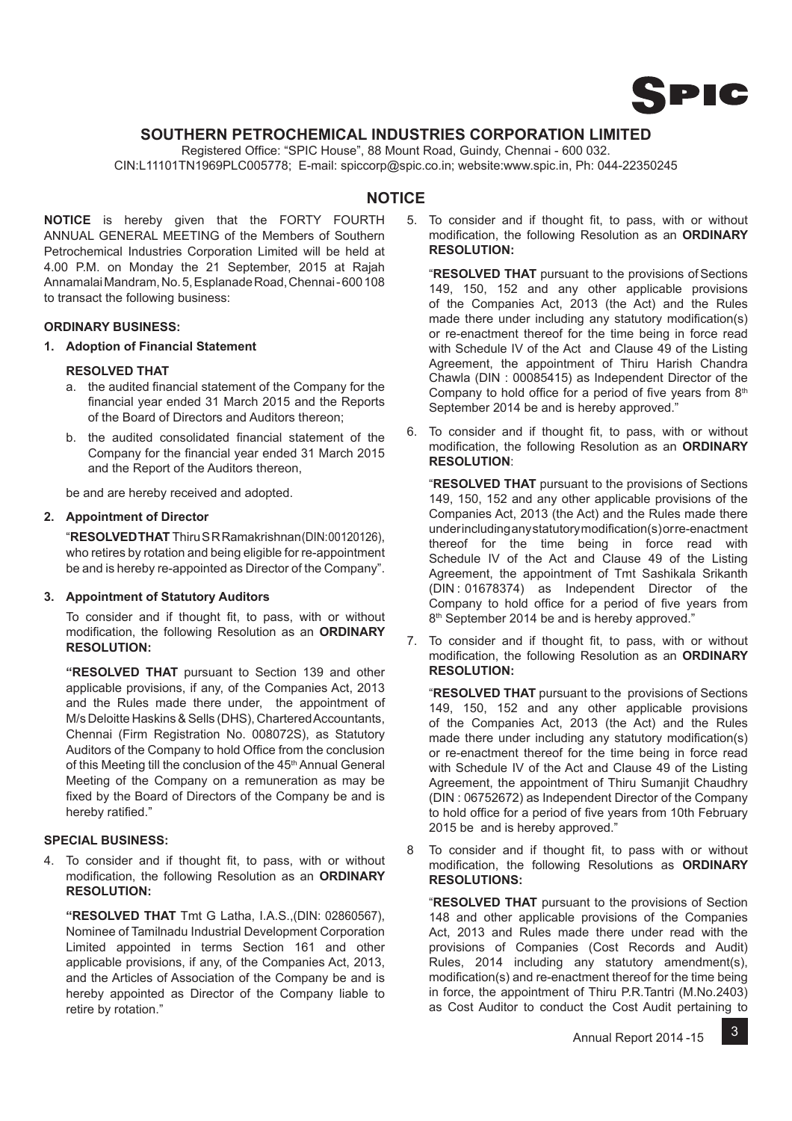

## **SOUTHERN PETROCHEMICAL INDUSTRIES CORPORATION LIMITED**

Registered Office: "SPIC House", 88 Mount Road, Guindy, Chennai - 600 032. CIN:L11101TN1969PLC005778; E-mail: spiccorp@spic.co.in; website:www.spic.in, Ph: 044-22350245

## **NOTICE**

**NOTICE** is hereby given that the FORTY FOURTH ANNUAL GENERAL MEETING of the Members of Southern Petrochemical Industries Corporation Limited will be held at 4.00 P.M. on Monday the 21 September, 2015 at Rajah Annamalai Mandram, No. 5, Esplanade Road, Chennai - 600 108 to transact the following business:

## **ORDINARY BUSINESS:**

**1. Adoption of Financial Statement**

## **RESOLVED THAT**

- a. the audited financial statement of the Company for the financial year ended 31 March 2015 and the Reports of the Board of Directors and Auditors thereon;
- b. the audited consolidated financial statement of the Company for the financial year ended 31 March 2015 and the Report of the Auditors thereon,

be and are hereby received and adopted.

## **2. Appointment of Director**

 "**RESOLVED THAT** Thiru S R Ramakrishnan (DIN: 00120126), who retires by rotation and being eligible for re-appointment be and is hereby re-appointed as Director of the Company".

## **3. Appointment of Statutory Auditors**

To consider and if thought fit, to pass, with or without modification, the following Resolution as an **ORDINARY RESOLUTION:**

 **"RESOLVED THAT** pursuant to Section 139 and other applicable provisions, if any, of the Companies Act, 2013 and the Rules made there under, the appointment of M/s Deloitte Haskins & Sells (DHS), Chartered Accountants, Chennai (Firm Registration No. 008072S), as Statutory Auditors of the Company to hold Office from the conclusion of this Meeting till the conclusion of the 45<sup>th</sup> Annual General Meeting of the Company on a remuneration as may be fixed by the Board of Directors of the Company be and is hereby ratified."

## **SPECIAL BUSINESS:**

4. To consider and if thought fit, to pass, with or without modification, the following Resolution as an ORDINARY **RESOLUTION:**

 **"RESOLVED THAT** Tmt G Latha, I.A.S.,(DIN: 02860567), Nominee of Tamilnadu Industrial Development Corporation Limited appointed in terms Section 161 and other applicable provisions, if any, of the Companies Act, 2013, and the Articles of Association of the Company be and is hereby appointed as Director of the Company liable to retire by rotation."

5. To consider and if thought fit, to pass, with or without modification, the following Resolution as an **ORDINARY RESOLUTION:**

 "**RESOLVED THAT** pursuant to the provisions of Sections 149, 150, 152 and any other applicable provisions of the Companies Act, 2013 (the Act) and the Rules made there under including any statutory modification(s) or re-enactment thereof for the time being in force read with Schedule IV of the Act and Clause 49 of the Listing Agreement, the appointment of Thiru Harish Chandra Chawla (DIN : 00085415) as Independent Director of the Company to hold office for a period of five years from  $8<sup>th</sup>$ September 2014 be and is hereby approved."

6. To consider and if thought fit, to pass, with or without modification, the following Resolution as an **ORDINARY RESOLUTION**:

 "**RESOLVED THAT** pursuant to the provisions of Sections 149, 150, 152 and any other applicable provisions of the Companies Act, 2013 (the Act) and the Rules made there under including any statutory modification(s) or re-enactment thereof for the time being in force read with Schedule IV of the Act and Clause 49 of the Listing Agreement, the appointment of Tmt Sashikala Srikanth (DIN : 01678374) as Independent Director of the Company to hold office for a period of five years from 8<sup>th</sup> September 2014 be and is hereby approved."

7. To consider and if thought fit, to pass, with or without modification, the following Resolution as an **ORDINARY RESOLUTION:**

 "**RESOLVED THAT** pursuant to the provisions of Sections 149, 150, 152 and any other applicable provisions of the Companies Act, 2013 (the Act) and the Rules made there under including any statutory modification(s) or re-enactment thereof for the time being in force read with Schedule IV of the Act and Clause 49 of the Listing Agreement, the appointment of Thiru Sumanjit Chaudhry (DIN : 06752672) as Independent Director of the Company to hold office for a period of five years from 10th February 2015 be and is hereby approved."

8 To consider and if thought fit, to pass with or without modification, the following Resolutions as **ORDINARY RESOLUTIONS:** 

 "**RESOLVED THAT** pursuant to the provisions of Section 148 and other applicable provisions of the Companies Act, 2013 and Rules made there under read with the provisions of Companies (Cost Records and Audit) Rules, 2014 including any statutory amendment(s), modification(s) and re-enactment thereof for the time being in force, the appointment of Thiru P.R.Tantri (M.No.2403) as Cost Auditor to conduct the Cost Audit pertaining to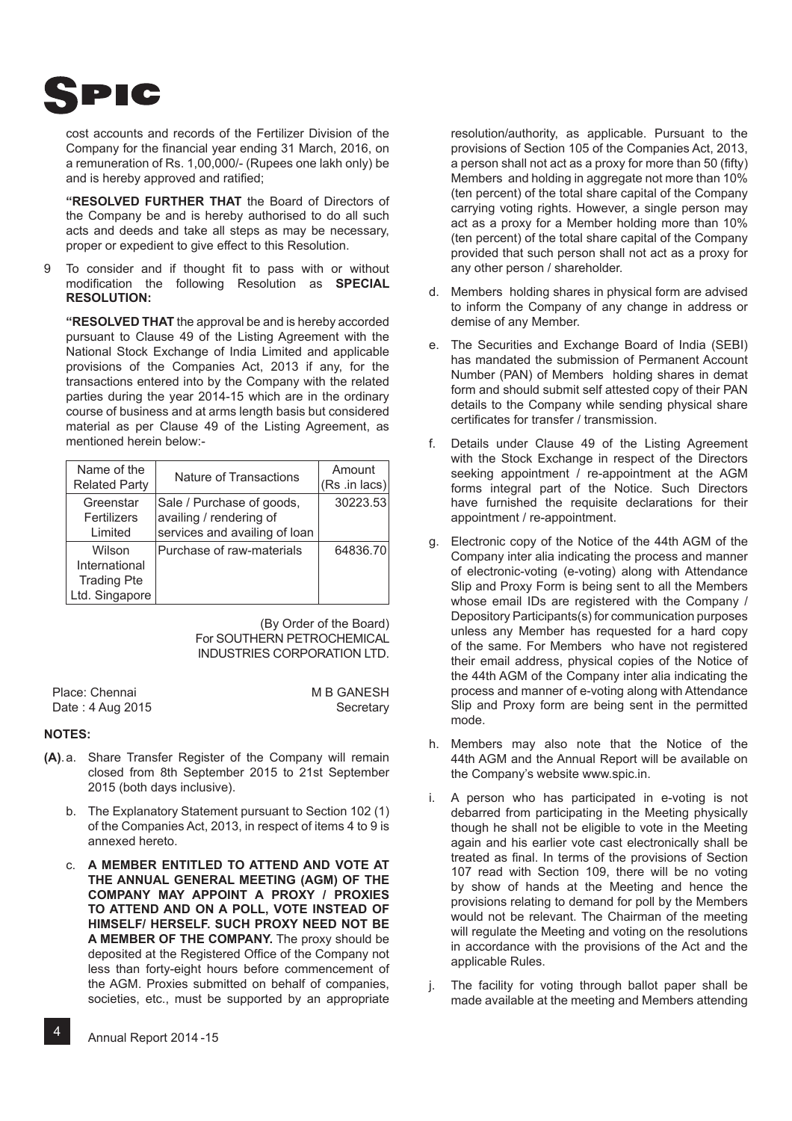

cost accounts and records of the Fertilizer Division of the Company for the financial year ending 31 March, 2016, on a remuneration of Rs. 1,00,000/- (Rupees one lakh only) be and is hereby approved and ratified;

 **"RESOLVED FURTHER THAT** the Board of Directors of the Company be and is hereby authorised to do all such acts and deeds and take all steps as may be necessary, proper or expedient to give effect to this Resolution.

9 To consider and if thought fit to pass with or without modification the following Resolution as **SPECIAL RESOLUTION:**

 **"RESOLVED THAT** the approval be and is hereby accorded pursuant to Clause 49 of the Listing Agreement with the National Stock Exchange of India Limited and applicable provisions of the Companies Act, 2013 if any, for the transactions entered into by the Company with the related parties during the year 2014-15 which are in the ordinary course of business and at arms length basis but considered material as per Clause 49 of the Listing Agreement, as mentioned herein below:-

| Name of the<br><b>Related Party</b>                             | Nature of Transactions                                                                | Amount<br>(Rs .in lacs) |
|-----------------------------------------------------------------|---------------------------------------------------------------------------------------|-------------------------|
| Greenstar<br>Fertilizers<br>Limited                             | Sale / Purchase of goods,<br>availing / rendering of<br>services and availing of loan | 30223.53                |
| Wilson<br>International<br><b>Trading Pte</b><br>Ltd. Singapore | Purchase of raw-materials                                                             | 64836.70                |

(By Order of the Board) For SOUTHERN PETROCHEMICAL INDUSTRIES CORPORATION LTD.

| Place: Chennai   | <b>M B GANESH</b> |
|------------------|-------------------|
| Date: 4 Aug 2015 | Secretary         |

## **NOTES:**

- **(A)**. a. Share Transfer Register of the Company will remain closed from 8th September 2015 to 21st September 2015 (both days inclusive).
	- b. The Explanatory Statement pursuant to Section 102 (1) of the Companies Act, 2013, in respect of items 4 to 9 is annexed hereto.
	- c. **A MEMBER ENTITLED TO ATTEND AND VOTE AT THE ANNUAL GENERAL MEETING (AGM) OF THE COMPANY MAY APPOINT A PROXY / PROXIES TO ATTEND AND ON A POLL, VOTE INSTEAD OF HIMSELF/ HERSELF. SUCH PROXY NEED NOT BE A MEMBER OF THE COMPANY.** The proxy should be deposited at the Registered Office of the Company not less than forty-eight hours before commencement of the AGM. Proxies submitted on behalf of companies, societies, etc., must be supported by an appropriate

resolution/authority, as applicable. Pursuant to the provisions of Section 105 of the Companies Act, 2013, a person shall not act as a proxy for more than 50 (fifty) Members and holding in aggregate not more than 10% (ten percent) of the total share capital of the Company carrying voting rights. However, a single person may act as a proxy for a Member holding more than 10% (ten percent) of the total share capital of the Company provided that such person shall not act as a proxy for any other person / shareholder.

- d. Members holding shares in physical form are advised to inform the Company of any change in address or demise of any Member.
- e. The Securities and Exchange Board of India (SEBI) has mandated the submission of Permanent Account Number (PAN) of Members holding shares in demat form and should submit self attested copy of their PAN details to the Company while sending physical share certificates for transfer / transmission.
- f. Details under Clause 49 of the Listing Agreement with the Stock Exchange in respect of the Directors seeking appointment / re-appointment at the AGM forms integral part of the Notice. Such Directors have furnished the requisite declarations for their appointment / re-appointment.
- g. Electronic copy of the Notice of the 44th AGM of the Company inter alia indicating the process and manner of electronic-voting (e-voting) along with Attendance Slip and Proxy Form is being sent to all the Members whose email IDs are registered with the Company / Depository Participants(s) for communication purposes unless any Member has requested for a hard copy of the same. For Members who have not registered their email address, physical copies of the Notice of the 44th AGM of the Company inter alia indicating the process and manner of e-voting along with Attendance Slip and Proxy form are being sent in the permitted mode.
- h. Members may also note that the Notice of the 44th AGM and the Annual Report will be available on the Company's website www.spic.in.
- i. A person who has participated in e-voting is not debarred from participating in the Meeting physically though he shall not be eligible to vote in the Meeting again and his earlier vote cast electronically shall be treated as final. In terms of the provisions of Section 107 read with Section 109, there will be no voting by show of hands at the Meeting and hence the provisions relating to demand for poll by the Members would not be relevant. The Chairman of the meeting will regulate the Meeting and voting on the resolutions in accordance with the provisions of the Act and the applicable Rules.
- j. The facility for voting through ballot paper shall be made available at the meeting and Members attending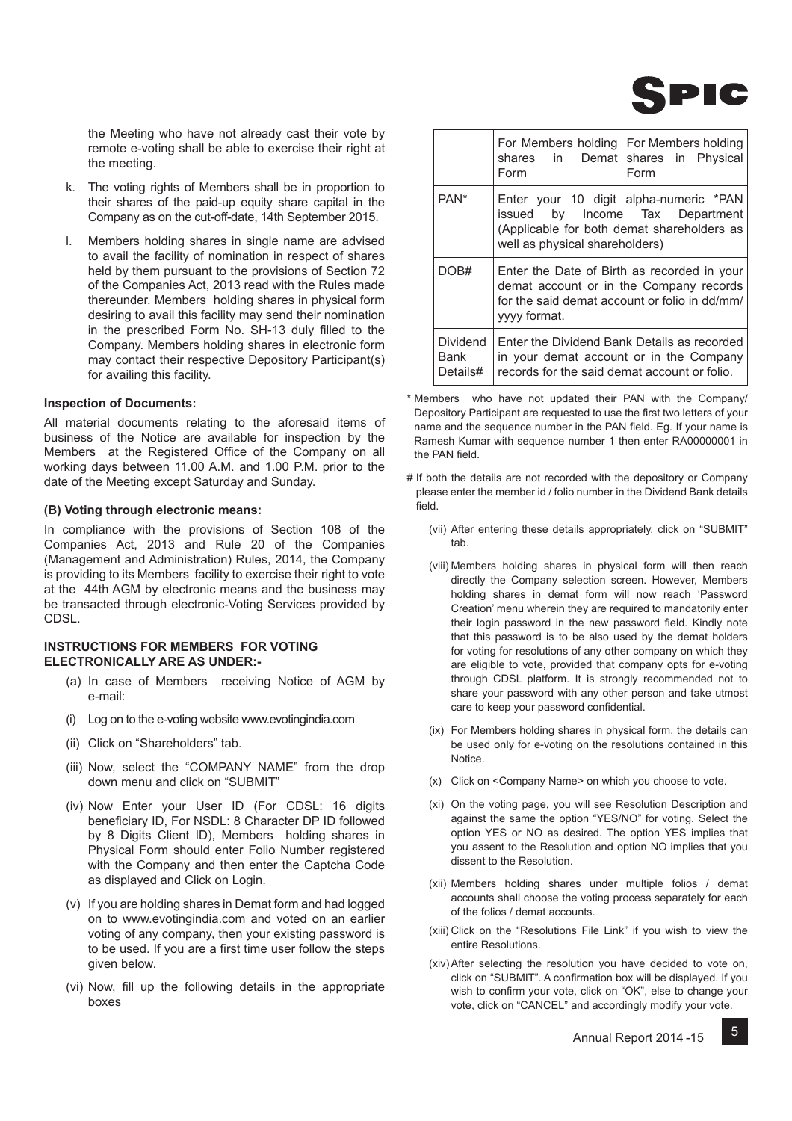

the Meeting who have not already cast their vote by remote e-voting shall be able to exercise their right at the meeting.

- k. The voting rights of Members shall be in proportion to their shares of the paid-up equity share capital in the Company as on the cut-off-date, 14th September 2015.
- l. Members holding shares in single name are advised to avail the facility of nomination in respect of shares held by them pursuant to the provisions of Section 72 of the Companies Act, 2013 read with the Rules made thereunder. Members holding shares in physical form desiring to avail this facility may send their nomination in the prescribed Form No. SH-13 duly filled to the Company. Members holding shares in electronic form may contact their respective Depository Participant(s) for availing this facility.

### **Inspection of Documents:**

All material documents relating to the aforesaid items of business of the Notice are available for inspection by the Members at the Registered Office of the Company on all working days between 11.00 A.M. and 1.00 P.M. prior to the date of the Meeting except Saturday and Sunday.

### **(B) Voting through electronic means:**

In compliance with the provisions of Section 108 of the Companies Act, 2013 and Rule 20 of the Companies (Management and Administration) Rules, 2014, the Company is providing to its Members facility to exercise their right to vote at the 44th AGM by electronic means and the business may be transacted through electronic-Voting Services provided by CDSL.

## **INSTRUCTIONS FOR MEMBERS FOR VOTING ELECTRONICALLY ARE AS UNDER:-**

- (a) In case of Members receiving Notice of AGM by e-mail:
- (i) Log on to the e-voting website www.evotingindia.com
- (ii) Click on "Shareholders" tab.
- (iii) Now, select the "COMPANY NAME" from the drop down menu and click on "SUBMIT"
- (iv) Now Enter your User ID (For CDSL: 16 digits beneficiary ID, For NSDL: 8 Character DP ID followed by 8 Digits Client ID), Members holding shares in Physical Form should enter Folio Number registered with the Company and then enter the Captcha Code as displayed and Click on Login.
- (v) If you are holding shares in Demat form and had logged on to www.evotingindia.com and voted on an earlier voting of any company, then your existing password is to be used. If you are a first time user follow the steps given below.
- (vi) Now, fill up the following details in the appropriate boxes

|                              | For Members holding   For Members holding<br>shares in Demat shares in Physical<br>Form                                                                                                                                                                                                                                                                                                                                                                        | Form |
|------------------------------|----------------------------------------------------------------------------------------------------------------------------------------------------------------------------------------------------------------------------------------------------------------------------------------------------------------------------------------------------------------------------------------------------------------------------------------------------------------|------|
| PAN <sup>*</sup>             | Enter your 10 digit alpha-numeric *PAN<br>issued by Income Tax Department<br>(Applicable for both demat shareholders as<br>well as physical shareholders)<br>Enter the Date of Birth as recorded in your<br>demat account or in the Company records<br>for the said demat account or folio in dd/mm/<br>yyyy format.<br>Enter the Dividend Bank Details as recorded<br>in your demat account or in the Company<br>records for the said demat account or folio. |      |
| DOB#                         |                                                                                                                                                                                                                                                                                                                                                                                                                                                                |      |
| Dividend<br>Bank<br>Details# |                                                                                                                                                                                                                                                                                                                                                                                                                                                                |      |

\* Members who have not updated their PAN with the Company/ Depository Participant are requested to use the first two letters of your name and the sequence number in the PAN field. Eq. If your name is Ramesh Kumar with sequence number 1 then enter RA00000001 in the PAN field.

- # If both the details are not recorded with the depository or Company please enter the member id / folio number in the Dividend Bank details hleit
	- (vii) After entering these details appropriately, click on "SUBMIT" tab.
	- (viii) Members holding shares in physical form will then reach directly the Company selection screen. However, Members holding shares in demat form will now reach 'Password Creation' menu wherein they are required to mandatorily enter their login password in the new password field. Kindly note that this password is to be also used by the demat holders for voting for resolutions of any other company on which they are eligible to vote, provided that company opts for e-voting through CDSL platform. It is strongly recommended not to share your password with any other person and take utmost care to keep your password confidential.
	- (ix) For Members holding shares in physical form, the details can be used only for e-voting on the resolutions contained in this Notice.
	- (x) Click on <Company Name> on which you choose to vote.
	- (xi) On the voting page, you will see Resolution Description and against the same the option "YES/NO" for voting. Select the option YES or NO as desired. The option YES implies that you assent to the Resolution and option NO implies that you dissent to the Resolution.
	- (xii) Members holding shares under multiple folios / demat accounts shall choose the voting process separately for each of the folios / demat accounts.
	- (xiii) Click on the "Resolutions File Link" if you wish to view the entire Resolutions.
	- (xiv) After selecting the resolution you have decided to vote on, click on "SUBMIT". A confirmation box will be displayed. If you wish to confirm your vote, click on "OK", else to change your vote, click on "CANCEL" and accordingly modify your vote.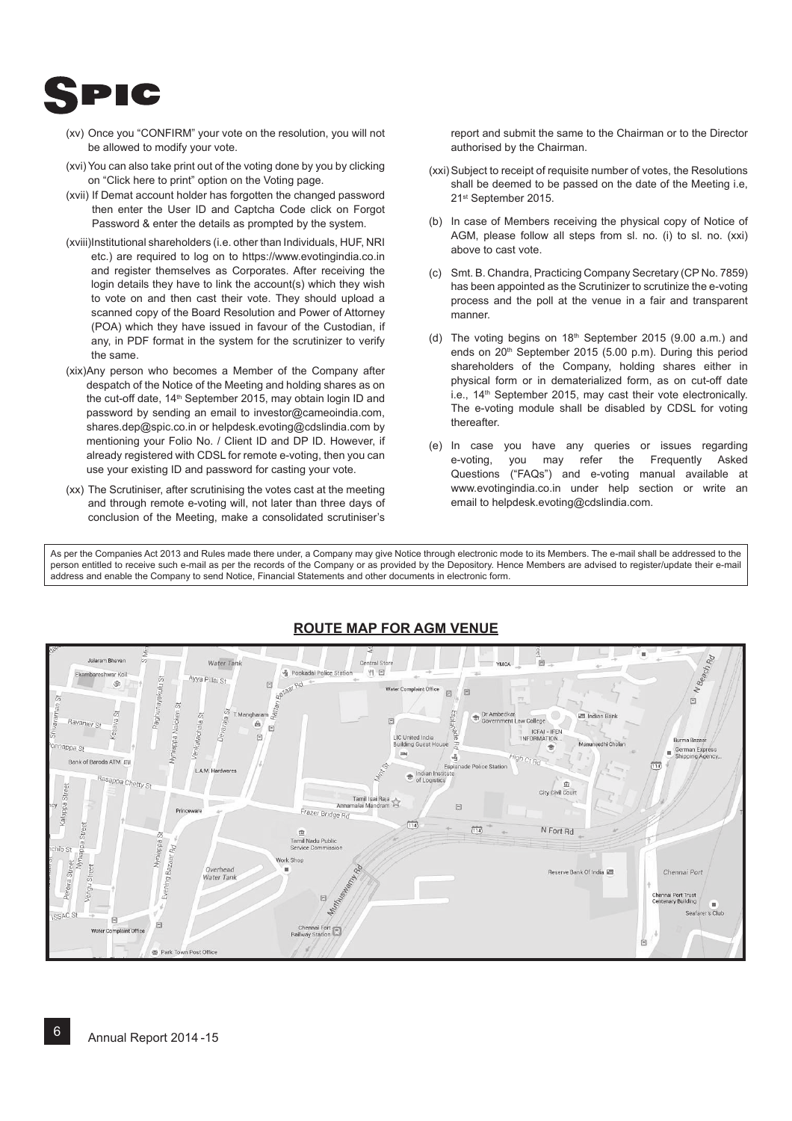

- (xv) Once you "CONFIRM" your vote on the resolution, you will not be allowed to modify your vote.
- (xvi) You can also take print out of the voting done by you by clicking on "Click here to print" option on the Voting page.
- (xvii) If Demat account holder has forgotten the changed password then enter the User ID and Captcha Code click on Forgot Password & enter the details as prompted by the system.
- (xviii) Institutional shareholders (i.e. other than Individuals, HUF, NRI etc.) are required to log on to https://www.evotingindia.co.in and register themselves as Corporates. After receiving the login details they have to link the account(s) which they wish to vote on and then cast their vote. They should upload a scanned copy of the Board Resolution and Power of Attorney (POA) which they have issued in favour of the Custodian, if any, in PDF format in the system for the scrutinizer to verify the same.
- (xix) Any person who becomes a Member of the Company after despatch of the Notice of the Meeting and holding shares as on the cut-off date, 14<sup>th</sup> September 2015, may obtain login ID and password by sending an email to investor@cameoindia.com, shares.dep@spic.co.in or helpdesk.evoting@cdslindia.com by mentioning your Folio No. / Client ID and DP ID. However, if already registered with CDSL for remote e-voting, then you can use your existing ID and password for casting your vote.
- (xx) The Scrutiniser, after scrutinising the votes cast at the meeting and through remote e-voting will, not later than three days of conclusion of the Meeting, make a consolidated scrutiniser's

report and submit the same to the Chairman or to the Director authorised by the Chairman.

- (xxi) Subject to receipt of requisite number of votes, the Resolutions shall be deemed to be passed on the date of the Meeting i.e, 21st September 2015.
- (b) In case of Members receiving the physical copy of Notice of AGM, please follow all steps from sl. no. (i) to sl. no. (xxi) above to cast vote.
- (c) Smt. B. Chandra, Practicing Company Secretary (CP No. 7859) has been appointed as the Scrutinizer to scrutinize the e-voting process and the poll at the venue in a fair and transparent manner.
- (d) The voting begins on  $18<sup>th</sup>$  September 2015 (9.00 a.m.) and ends on 20<sup>th</sup> September 2015 (5.00 p.m). During this period shareholders of the Company, holding shares either in physical form or in dematerialized form, as on cut-off date i.e., 14<sup>th</sup> September 2015, may cast their vote electronically. The e-voting module shall be disabled by CDSL for voting thereafter.
- (e) In case you have any queries or issues regarding e-voting, you may refer the Frequently Asked Questions ("FAQs") and e-voting manual available at www.evotingindia.co.in under help section or write an email to helpdesk.evoting@cdslindia.com.

As per the Companies Act 2013 and Rules made there under, a Company may give Notice through electronic mode to its Members. The e-mail shall be addressed to the person entitled to receive such e-mail as per the records of the Company or as provided by the Depository. Hence Members are advised to register/update their e-mail address and enable the Company to send Notice, Financial Statements and other documents in electronic form.



# **ROUTE MAP FOR AGM VENUE**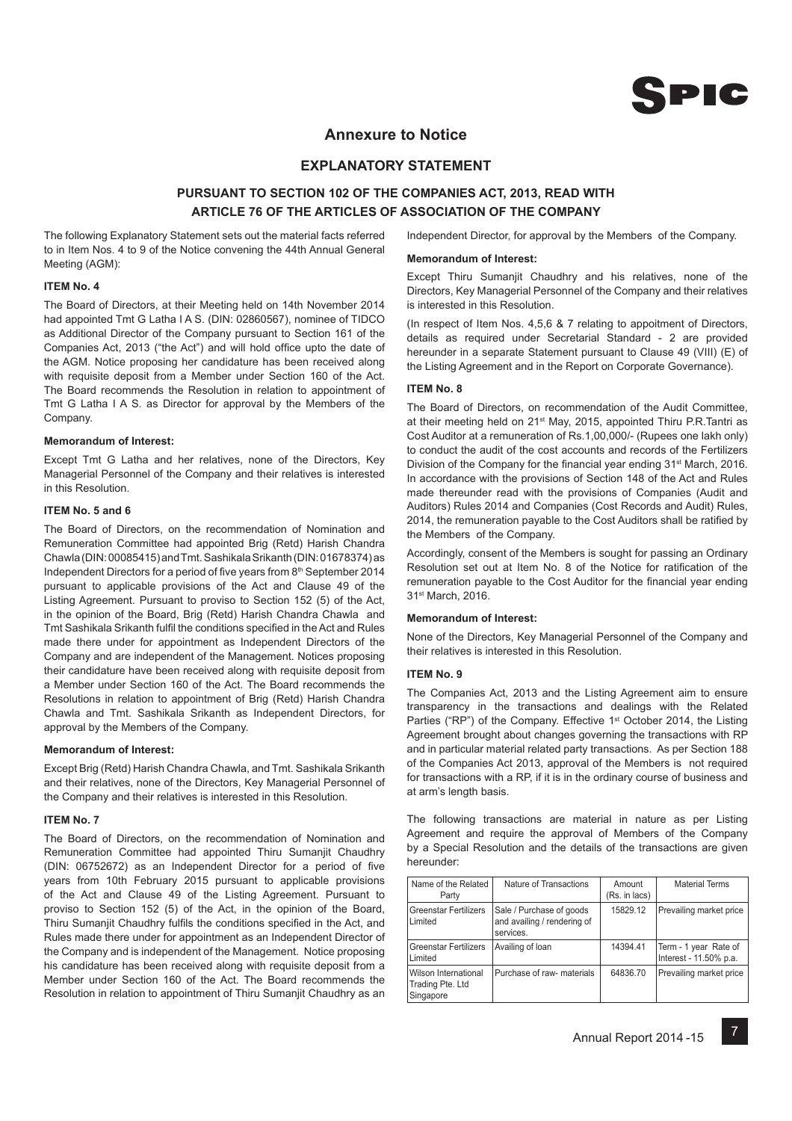

## **Annexure to Notice**

## **EXPLANATORY STATEMENT**

## **PURSUANT TO SECTION 102 OF THE COMPANIES ACT, 2013, READ WITH ARTICLE 76 OF THE ARTICLES OF ASSOCIATION OF THE COMPANY**

The following Explanatory Statement sets out the material facts referred to in Item Nos. 4 to 9 of the Notice convening the 44th Annual General Meeting (AGM):

#### **ITEM No. 4**

The Board of Directors, at their Meeting held on 14th November 2014 had appointed Tmt G Latha I A S. (DIN: 02860567), nominee of TIDCO as Additional Director of the Company pursuant to Section 161 of the Companies Act, 2013 ("the Act") and will hold office upto the date of the AGM. Notice proposing her candidature has been received along with requisite deposit from a Member under Section 160 of the Act. The Board recommends the Resolution in relation to appointment of Tmt G Latha I A S. as Director for approval by the Members of the Company.

#### **Memorandum of Interest:**

Except Tmt G Latha and her relatives, none of the Directors, Key Managerial Personnel of the Company and their relatives is interested in this Resolution.

#### **ITEM No. 5 and 6**

The Board of Directors, on the recommendation of Nomination and Remuneration Committee had appointed Brig (Retd) Harish Chandra Chawla (DIN: 00085415) and Tmt. Sashikala Srikanth (DIN: 01678374) as Independent Directors for a period of five years from 8<sup>th</sup> September 2014 pursuant to applicable provisions of the Act and Clause 49 of the Listing Agreement. Pursuant to proviso to Section 152 (5) of the Act, in the opinion of the Board, Brig (Retd) Harish Chandra Chawla and Tmt Sashikala Srikanth fulfil the conditions specified in the Act and Rules made there under for appointment as Independent Directors of the Company and are independent of the Management. Notices proposing their candidature have been received along with requisite deposit from a Member under Section 160 of the Act. The Board recommends the Resolutions in relation to appointment of Brig (Retd) Harish Chandra Chawla and Tmt. Sashikala Srikanth as Independent Directors, for approval by the Members of the Company.

#### **Memorandum of Interest:**

Except Brig (Retd) Harish Chandra Chawla, and Tmt. Sashikala Srikanth and their relatives, none of the Directors, Key Managerial Personnel of the Company and their relatives is interested in this Resolution.

### **ITEM No. 7**

The Board of Directors, on the recommendation of Nomination and Remuneration Committee had appointed Thiru Sumanjit Chaudhry (DIN: 06752672) as an Independent Director for a period of five years from 10th February 2015 pursuant to applicable provisions of the Act and Clause 49 of the Listing Agreement. Pursuant to proviso to Section 152 (5) of the Act, in the opinion of the Board, Thiru Sumanjit Chaudhry fulfils the conditions specified in the Act, and Rules made there under for appointment as an Independent Director of the Company and is independent of the Management. Notice proposing his candidature has been received along with requisite deposit from a Member under Section 160 of the Act. The Board recommends the Resolution in relation to appointment of Thiru Sumanjit Chaudhry as an

Independent Director, for approval by the Members of the Company.

### **Memorandum of Interest:**

Except Thiru Sumanjit Chaudhry and his relatives, none of the Directors, Key Managerial Personnel of the Company and their relatives is interested in this Resolution.

(In respect of Item Nos. 4,5,6 & 7 relating to appoitment of Directors, details as required under Secretarial Standard - 2 are provided hereunder in a separate Statement pursuant to Clause 49 (VIII) (E) of the Listing Agreement and in the Report on Corporate Governance).

### **ITEM No. 8**

The Board of Directors, on recommendation of the Audit Committee, at their meeting held on 21st May, 2015, appointed Thiru P.R.Tantri as Cost Auditor at a remuneration of Rs.1,00,000/- (Rupees one lakh only) to conduct the audit of the cost accounts and records of the Fertilizers Division of the Company for the financial year ending 31<sup>st</sup> March, 2016. In accordance with the provisions of Section 148 of the Act and Rules made thereunder read with the provisions of Companies (Audit and Auditors) Rules 2014 and Companies (Cost Records and Audit) Rules, 2014, the remuneration payable to the Cost Auditors shall be ratified by the Members of the Company.

Accordingly, consent of the Members is sought for passing an Ordinary Resolution set out at Item No. 8 of the Notice for ratification of the remuneration payable to the Cost Auditor for the financial year ending 31st March, 2016.

#### **Memorandum of Interest:**

None of the Directors, Key Managerial Personnel of the Company and their relatives is interested in this Resolution.

### **ITEM No. 9**

The Companies Act, 2013 and the Listing Agreement aim to ensure transparency in the transactions and dealings with the Related Parties ("RP") of the Company. Effective 1<sup>st</sup> October 2014, the Listing Agreement brought about changes governing the transactions with RP and in particular material related party transactions. As per Section 188 of the Companies Act 2013, approval of the Members is not required for transactions with a RP, if it is in the ordinary course of business and at arm's length basis.

The following transactions are material in nature as per Listing Agreement and require the approval of Members of the Company by a Special Resolution and the details of the transactions are given hereunder:

| Name of the Related<br>Party                          | Nature of Transactions                                               | Amount<br>(Rs. in lacs) | <b>Material Terms</b>                           |
|-------------------------------------------------------|----------------------------------------------------------------------|-------------------------|-------------------------------------------------|
| <b>Greenstar Fertilizers</b><br>Limited               | Sale / Purchase of goods<br>and availing / rendering of<br>services. | 15829.12                | Prevailing market price                         |
| Greenstar Fertilizers<br>Limited                      | Availing of loan                                                     | 14394.41                | Term - 1 year Rate of<br>Interest - 11.50% p.a. |
| Wilson International<br>Trading Pte. Ltd<br>Singapore | Purchase of raw- materials                                           | 64836.70                | Prevailing market price                         |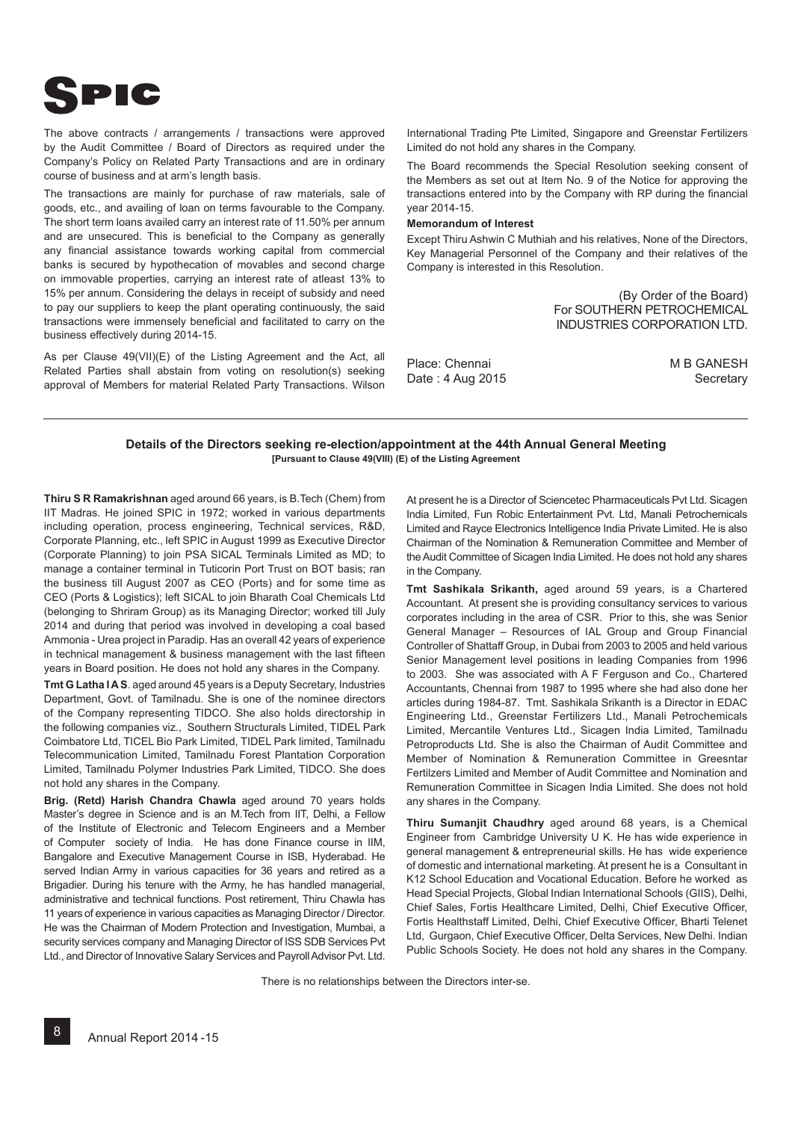

The above contracts / arrangements / transactions were approved by the Audit Committee / Board of Directors as required under the Company's Policy on Related Party Transactions and are in ordinary course of business and at arm's length basis.

The transactions are mainly for purchase of raw materials, sale of goods, etc., and availing of loan on terms favourable to the Company. The short term loans availed carry an interest rate of 11.50% per annum and are unsecured. This is beneficial to the Company as generally any financial assistance towards working capital from commercial banks is secured by hypothecation of movables and second charge on immovable properties, carrying an interest rate of atleast 13% to 15% per annum. Considering the delays in receipt of subsidy and need to pay our suppliers to keep the plant operating continuously, the said transactions were immensely beneficial and facilitated to carry on the business effectively during 2014-15.

As per Clause 49(VII)(E) of the Listing Agreement and the Act, all Related Parties shall abstain from voting on resolution(s) seeking approval of Members for material Related Party Transactions. Wilson

International Trading Pte Limited, Singapore and Greenstar Fertilizers Limited do not hold any shares in the Company.

The Board recommends the Special Resolution seeking consent of the Members as set out at Item No. 9 of the Notice for approving the transactions entered into by the Company with RP during the financial year 2014-15.

### **Memorandum of Interest**

Except Thiru Ashwin C Muthiah and his relatives, None of the Directors, Key Managerial Personnel of the Company and their relatives of the Company is interested in this Resolution.

> (By Order of the Board) For SOUTHERN PETROCHEMICAL INDUSTRIES CORPORATION LTD.

Place: Chennai Date : 4 Aug 2015 M B GANESH **Secretary** 

### **Details of the Directors seeking re-election/appointment at the 44th Annual General Meeting [Pursuant to Clause 49(VIII) (E) of the Listing Agreement**

**Thiru S R Ramakrishnan** aged around 66 years, is B.Tech (Chem) from IIT Madras. He joined SPIC in 1972; worked in various departments including operation, process engineering, Technical services, R&D, Corporate Planning, etc., left SPIC in August 1999 as Executive Director (Corporate Planning) to join PSA SICAL Terminals Limited as MD; to manage a container terminal in Tuticorin Port Trust on BOT basis; ran the business till August 2007 as CEO (Ports) and for some time as CEO (Ports & Logistics); left SICAL to join Bharath Coal Chemicals Ltd (belonging to Shriram Group) as its Managing Director; worked till July 2014 and during that period was involved in developing a coal based Ammonia - Urea project in Paradip. Has an overall 42 years of experience in technical management & business management with the last fifteen years in Board position. He does not hold any shares in the Company.

**Tmt G Latha I A S**. aged around 45 years is a Deputy Secretary, Industries Department, Govt. of Tamilnadu. She is one of the nominee directors of the Company representing TIDCO. She also holds directorship in the following companies viz., Southern Structurals Limited, TIDEL Park Coimbatore Ltd, TICEL Bio Park Limited, TIDEL Park limited, Tamilnadu Telecommunication Limited, Tamilnadu Forest Plantation Corporation Limited, Tamilnadu Polymer Industries Park Limited, TIDCO. She does not hold any shares in the Company.

**Brig. (Retd) Harish Chandra Chawla** aged around 70 years holds Master's degree in Science and is an M.Tech from IIT, Delhi, a Fellow of the Institute of Electronic and Telecom Engineers and a Member of Computer society of India. He has done Finance course in IIM, Bangalore and Executive Management Course in ISB, Hyderabad. He served Indian Army in various capacities for 36 years and retired as a Brigadier. During his tenure with the Army, he has handled managerial, administrative and technical functions. Post retirement, Thiru Chawla has 11 years of experience in various capacities as Managing Director / Director. He was the Chairman of Modern Protection and Investigation, Mumbai, a security services company and Managing Director of ISS SDB Services Pvt Ltd., and Director of Innovative Salary Services and Payroll Advisor Pvt. Ltd.

At present he is a Director of Sciencetec Pharmaceuticals Pvt Ltd. Sicagen India Limited, Fun Robic Entertainment Pvt. Ltd, Manali Petrochemicals Limited and Rayce Electronics Intelligence India Private Limited. He is also Chairman of the Nomination & Remuneration Committee and Member of the Audit Committee of Sicagen India Limited. He does not hold any shares in the Company.

**Tmt Sashikala Srikanth,** aged around 59 years, is a Chartered Accountant. At present she is providing consultancy services to various corporates including in the area of CSR. Prior to this, she was Senior General Manager – Resources of IAL Group and Group Financial Controller of Shattaff Group, in Dubai from 2003 to 2005 and held various Senior Management level positions in leading Companies from 1996 to 2003. She was associated with A F Ferguson and Co., Chartered Accountants, Chennai from 1987 to 1995 where she had also done her articles during 1984-87. Tmt. Sashikala Srikanth is a Director in EDAC Engineering Ltd., Greenstar Fertilizers Ltd., Manali Petrochemicals Limited, Mercantile Ventures Ltd., Sicagen India Limited, Tamilnadu Petroproducts Ltd. She is also the Chairman of Audit Committee and Member of Nomination & Remuneration Committee in Greesntar Fertilzers Limited and Member of Audit Committee and Nomination and Remuneration Committee in Sicagen India Limited. She does not hold any shares in the Company.

**Thiru Sumanjit Chaudhry** aged around 68 years, is a Chemical Engineer from Cambridge University U K. He has wide experience in general management & entrepreneurial skills. He has wide experience of domestic and international marketing. At present he is a Consultant in K12 School Education and Vocational Education. Before he worked as Head Special Projects, Global Indian International Schools (GIIS), Delhi, Chief Sales, Fortis Healthcare Limited, Delhi, Chief Executive Officer, Fortis Healthstaff Limited, Delhi, Chief Executive Officer, Bharti Telenet Ltd, Gurgaon, Chief Executive Officer, Delta Services, New Delhi. Indian Public Schools Society. He does not hold any shares in the Company.

There is no relationships between the Directors inter-se.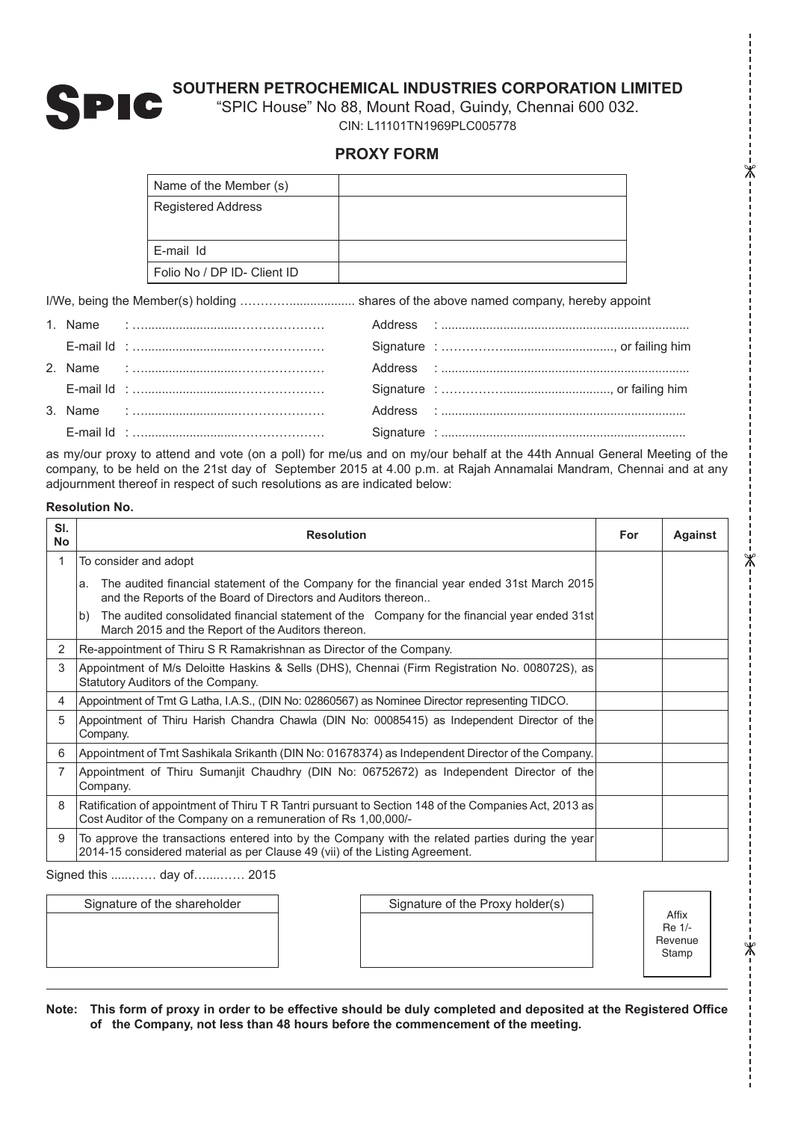

 $\chi$ 

 $\mathbb X$ 

⋇

"SPIC House" No 88, Mount Road, Guindy, Chennai 600 032. CIN: L11101TN1969PLC005778

# **PROXY FORM**

| Name of the Member (s)      |  |
|-----------------------------|--|
| Registered Address          |  |
| E-mail Id                   |  |
| Folio No / DP ID- Client ID |  |

I/We, being the Member(s) holding …………................... shares of the above named company, hereby appoint

as my/our proxy to attend and vote (on a poll) for me/us and on my/our behalf at the 44th Annual General Meeting of the company, to be held on the 21st day of September 2015 at 4.00 p.m. at Rajah Annamalai Mandram, Chennai and at any adjournment thereof in respect of such resolutions as are indicated below:

## **Resolution No.**

| SI.<br><b>No</b> | <b>Resolution</b>                                                                                                                                                                |  | <b>Against</b> |
|------------------|----------------------------------------------------------------------------------------------------------------------------------------------------------------------------------|--|----------------|
| 1                | To consider and adopt                                                                                                                                                            |  |                |
|                  | The audited financial statement of the Company for the financial year ended 31st March 2015<br>la.<br>and the Reports of the Board of Directors and Auditors thereon             |  |                |
|                  | The audited consolidated financial statement of the Company for the financial year ended 31st<br>lb)<br>March 2015 and the Report of the Auditors thereon.                       |  |                |
| 2                | Re-appointment of Thiru S R Ramakrishnan as Director of the Company.                                                                                                             |  |                |
| 3                | Appointment of M/s Deloitte Haskins & Sells (DHS), Chennai (Firm Registration No. 008072S), as<br>Statutory Auditors of the Company.                                             |  |                |
| 4                | Appointment of Tmt G Latha, I.A.S., (DIN No: 02860567) as Nominee Director representing TIDCO.                                                                                   |  |                |
| 5                | Appointment of Thiru Harish Chandra Chawla (DIN No: 00085415) as Independent Director of the<br>Company.                                                                         |  |                |
| 6                | Appointment of Tmt Sashikala Srikanth (DIN No: 01678374) as Independent Director of the Company.                                                                                 |  |                |
| 7                | Appointment of Thiru Sumanjit Chaudhry (DIN No: 06752672) as Independent Director of the<br>Company.                                                                             |  |                |
| 8                | Ratification of appointment of Thiru T R Tantri pursuant to Section 148 of the Companies Act, 2013 as<br>Cost Auditor of the Company on a remuneration of Rs 1,00,000/-          |  |                |
| 9                | To approve the transactions entered into by the Company with the related parties during the year<br>2014-15 considered material as per Clause 49 (vii) of the Listing Agreement. |  |                |

Signed this ......…… day of…....…… 2015

| Signature of the Proxy holder(s)<br>Signature of the shareholder | Affix<br>Re 1/-<br>Revenue<br>Stamp |
|------------------------------------------------------------------|-------------------------------------|
|------------------------------------------------------------------|-------------------------------------|

Note: This form of proxy in order to be effective should be duly completed and deposited at the Registered Office **of the Company, not less than 48 hours before the commencement of the meeting.**